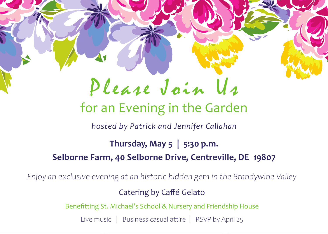## Please Join Us

## for an Evening in the Garden

*hosted by Patrick and Jennifer Callahan*

**Thursday, May 5 | 5:30 p.m. Selborne Farm, 40 Selborne Drive, Centreville, DE 19807**

*Enjoy an exclusive evening at an historic hidden gem in the Brandywine Valley*

Catering by Caffé Gelato

Benefitting St. Michael's School & Nursery and Friendship House

Live music | Business casual attire | RSVP by April 25